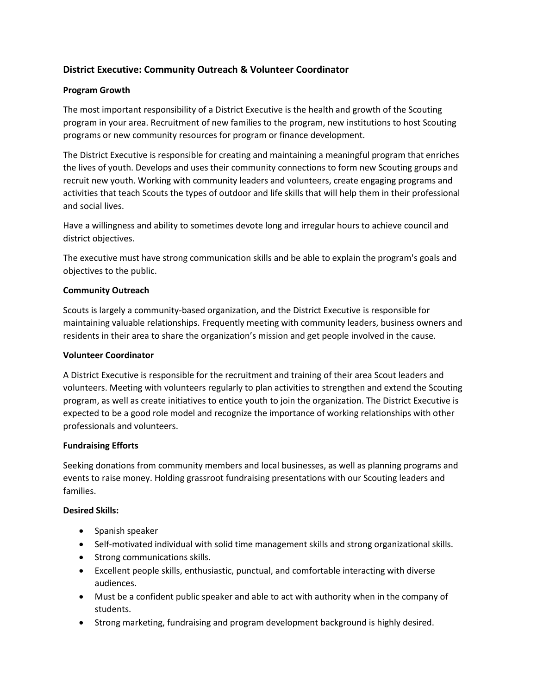# **District Executive: Community Outreach & Volunteer Coordinator**

## **Program Growth**

The most important responsibility of a District Executive is the health and growth of the Scouting program in your area. Recruitment of new families to the program, new institutions to host Scouting programs or new community resources for program or finance development.

The District Executive is responsible for creating and maintaining a meaningful program that enriches the lives of youth. Develops and uses their community connections to form new Scouting groups and recruit new youth. Working with community leaders and volunteers, create engaging programs and activities that teach Scouts the types of outdoor and life skills that will help them in their professional and social lives.

Have a willingness and ability to sometimes devote long and irregular hours to achieve council and district objectives.

The executive must have strong communication skills and be able to explain the program's goals and objectives to the public.

## **Community Outreach**

Scouts is largely a community-based organization, and the District Executive is responsible for maintaining valuable relationships. Frequently meeting with community leaders, business owners and residents in their area to share the organization's mission and get people involved in the cause.

### **Volunteer Coordinator**

A District Executive is responsible for the recruitment and training of their area Scout leaders and volunteers. Meeting with volunteers regularly to plan activities to strengthen and extend the Scouting program, as well as create initiatives to entice youth to join the organization. The District Executive is expected to be a good role model and recognize the importance of working relationships with other professionals and volunteers.

### **Fundraising Efforts**

Seeking donations from community members and local businesses, as well as planning programs and events to raise money. Holding grassroot fundraising presentations with our Scouting leaders and families.

### **Desired Skills:**

- Spanish speaker
- Self-motivated individual with solid time management skills and strong organizational skills.
- Strong communications skills.
- Excellent people skills, enthusiastic, punctual, and comfortable interacting with diverse audiences.
- Must be a confident public speaker and able to act with authority when in the company of students.
- Strong marketing, fundraising and program development background is highly desired.